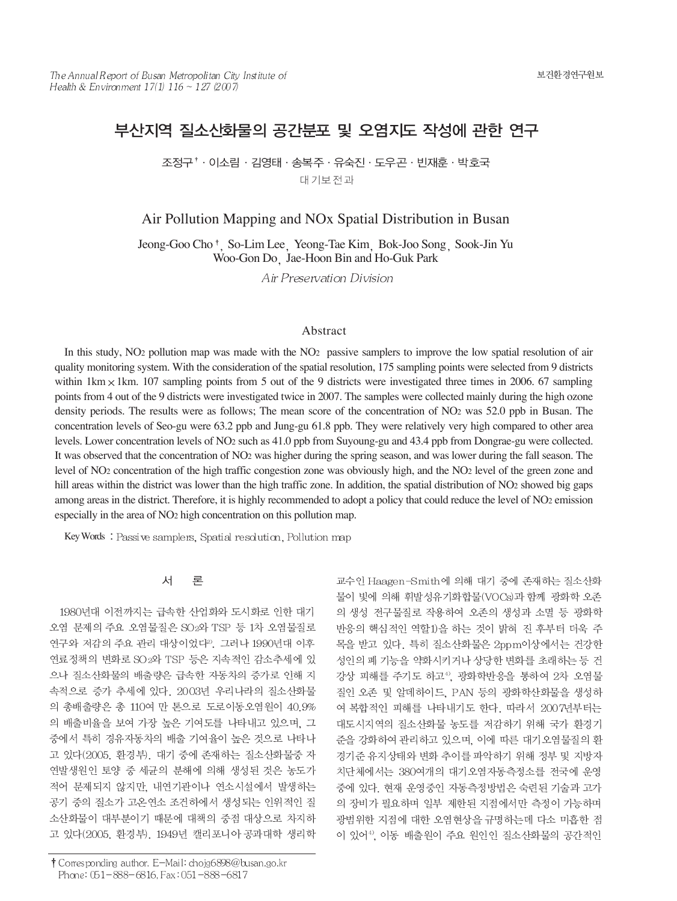# 부산지역 질소산화물의 공간분포 및 오염지도 작성에 관한 연구

조정구<sup>↑</sup> 이소림 · 김영태 · 송복주 · 유숙진 · 도우곤 · 빈재후 · 박호국 대기보전과

Air Pollution Mapping and NOx Spatial Distribution in Busan

Jeong-Goo Cho<sup>†</sup> So-Lim Lee Yeong-Tae Kim Bok-Joo Song Sook-Jin Yu Woo-Gon Do Jae-Hoon Bin and Ho-Guk Park

Air Preservation Division

### Abstract

In this study, NO2 pollution map was made with the NO2 passive samplers to improve the low spatial resolution of air quality monitoring system. With the consideration of the spatial resolution, 175 sampling points were selected from 9 districts within  $1 \text{km} \times 1 \text{km}$ . 107 sampling points from 5 out of the 9 districts were investigated three times in 2006. 67 sampling points from 4 out of the 9 districts were investigated twice in 2007. The samples were collected mainly during the high ozone density periods. The results were as follows; The mean score of the concentration of NO2 was 52.0 ppb in Busan. The concentration levels of Seo-gu were 63.2 ppb and Jung-gu 61.8 ppb. They were relatively very high compared to other area levels. Lower concentration levels of NO2 such as 41.0 ppb from Suyoung-gu and 43.4 ppb from Dongrae-gu were collected. It was observed that the concentration of NO2 was higher during the spring season, and was lower during the fall season. The level of NO2 concentration of the high traffic congestion zone was obviously high, and the NO2 level of the green zone and hill areas within the district was lower than the high traffic zone. In addition, the spatial distribution of NO2 showed big gaps among areas in the district. Therefore, it is highly recommended to adopt a policy that could reduce the level of NO2 emission especially in the area of NO2 high concentration on this pollution map.

Key Words: Passive samplers, Spatial resolution, Pollution map

#### 서 론

1980년대 이전까지는 급속한 산업화와 도시화로 인한 대기 오염 문제의 주요 오염물질은 SO2와 TSP 등 1차 오염물질로 연구와 저감의 주요 관리 대상이었다2). 그러나 1990년대 이후 연료정책의 변화로 SO 2와 TSP 등은 지속적인 감소추세에 있 으나 질소산화물의 배출량은 급속한 자동차의 증가로 인해 지 속적으로 증가 추세에 있다. 2003년 우리나라의 질소산화물 의 총배출량은 총 110여 만 톤으로 도로이동오염원이 40.9% 의 배출비율을 보여 가장 높은 기여도를 나타내고 있으며, 그 중에서 특히 경유자동차의 배출 기여율이 높은 것으로 나타나 고 있다(2005. 환경부). 대기 중에 존재하는 질소산화물중 자 연발생원인 토양 중 세균의 분해에 의해 생성된 것은 농도가 적어 문제되지 않지만, 내연기관이나 연소시설에서 발생하는 공기 중의 질소가 고온연소 조건하에서 생성되는 인위적인 질 소산화물이 대부분이기 때문에 대책의 중점 대상으로 차지하 고 있다(2005. 환경부). 1949년 캘리포니아 공과대학 생리학

† Corresponding author. E-Mail: chojg6898@busan.go.kr Phone: 051-888-6816, Fax: 051-888-6817

교수인 Haagen-Smith에 의해 대기 중에 존재하는 질소산화 물이 빛에 의해 휘발성유기화합물(VOCs)과 함께 광화학 오존 의 생성 전구물질로 작용하여 오존의 생성과 소멸 등 광화학 반응의 핵심적인 역할1)을 하는 것이 밝혀 진 후부터 더욱 주 목을 받고 있다. 특히 질소산화물은 2ppm이상에서는 건강한 성인의 폐 기능을 약화시키거나 상당한 변화를 초래하는 등 건 강상 피해를 주기도 하고<sup>4)</sup>, 광화학반응을 통하여 2차 오염물 질인 오존 및 알데하이드, PAN 등의 광화학산화물을 생성하 여 복합적인 피해를 나타내기도 한다. 따라서 2007년부터는 대도시지역의 질소산화물 농도를 저감하기 위해 국가 환경기 준을 강화하여 관리하고 있으며, 이에 따른 대기오염물질의 환 경기준 유지상태와 변화 추이를 파악하기 위해 정부 및 지방자 치단체에서는 380여개의 대기오염자동측정소를 전국에 운영 중에 있다. 현재 운영중인 자동측정방법은 숙련된 기술과 고가 의 장비가 필요하며 일부 제한된 지점에서만 측정이 가능하며 광범위한 지점에 대한 오염현상을 규명하는데 다소 미흡한 점 이 있어<sup>41</sup>, 이동 배출원이 주요 원인인 질소산화물의 공간적인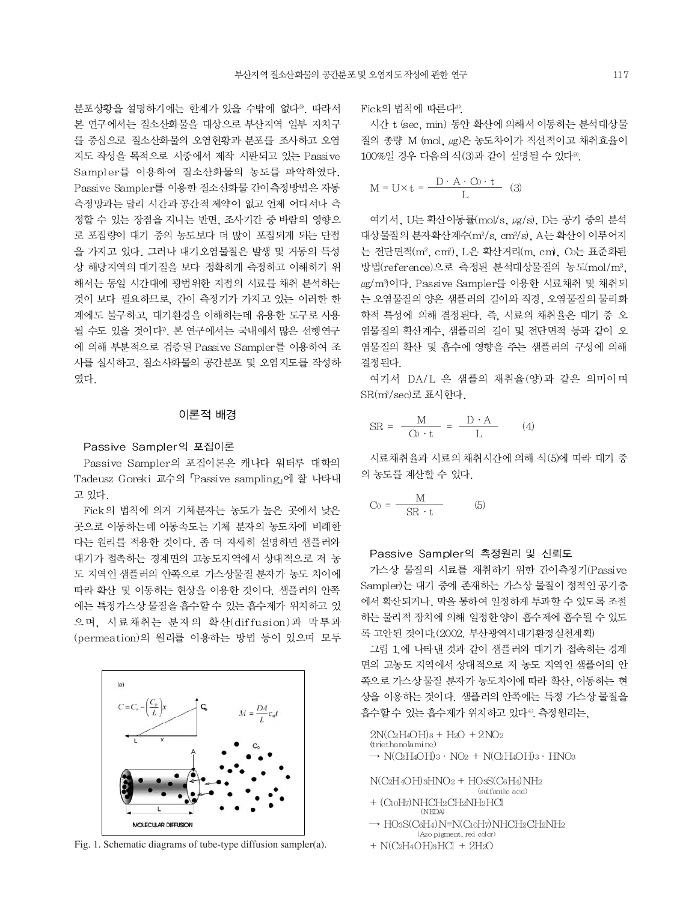분포상황을 설명하기에는 한계가 있을 수밖에 없다<sup>9</sup>. 따라서 본 연구에서는 질소산화물을 대상으로 부산지역 일부 자치구 를 중심으로 질소산화물의 오염현황과 분포를 조사하고 오염 지도 작성을 목적으로 시중에서 제작 시판되고 있는 Passive Sampler를 이용하여 질소산화물의 농도를 파악하였다. Passive Sampler를 이용한 질소산화물 간이측정방법은 자동 측정망과는 달리 시간과 공간적 제약이 없고 언제 어디서나 측 정할 수 있는 장점을 지니는 반면, 조사기간 중 바람의 영향으 로 포집량이 대기 중의 농도보다 더 많이 포집되게 되는 단점 을 가지고 있다. 그러나 대기오염물질은 발생 및 거동의 특성 상 해당지역의 대기질을 보다 정확하게 측정하고 이해하기 위 해서는 동일 시간대에 광범위한 지점의 시료를 채취 분석하는 것이 보다 필요하므로, 간이 측정기가 가지고 있는 이러한 한 계에도 불구하고, 대기환경을 이해하는데 유용한 도구로 사용 될 수도 있을 것이다". 본 연구에서는 국내에서 많은 선행연구 에 의해 부분적으로 검증된 Passive Sampler를 이용하여 조 사를 실시하고, 질소사화물의 공간분포 및 오염지도를 작성하 였다.

#### 이론적 배경

#### Passive Sampler의 포집이론

Passive Sampler의 포집이론은 캐나다 워터루 대학의 Tadeusz Goreki 교수의 「Passive sampling」에 잘 나타내 고 있다.

Fick의 법칙에 의거 기체분자는 농도가 높은 곳에서 낮은 곳으로 이동하는데 이동속도는 기체 분자의 농도차에 비례한 다는 원리를 적용한 것이다. 좀 더 자세히 설명하면 샘플러와 대기가 접촉하는 경계면의 고농도지역에서 상대적으로 저 농 도 지역인 샘플러의 안쪽으로 가스상물질 분자가 농도 차이에 따라 확산 및 이동하는 현상을 이용한 것이다. 샘플러의 안쪽 에는 특정가스상 물질을 흡수할 수 있는 흡수제가 위치하고 있 으며, 시료채취는 분자의 확산(diffusion)과 막투과 (permeation)의 원리를 이용하는 방법 등이 있으며 모두



Fig. 1. Schematic diagrams of tube-type diffusion sampler(a).

Fick의 법칙에 따른다<sup>4)</sup>.

시간 t (sec, min) 동안 확산에 의해서 이동하는 분석대상물 질의 총량 M (mol, ug)은 농도차이가 직선적이고 채취효율이 100%일 경우 다음의 식(3)과 같이 설명될 수 있다<sup>9)</sup>.

$$
M = U \times t = \frac{D \cdot A \cdot C_0 \cdot t}{L}
$$
 (3)

여기서, U는 확산이동률(mol/s, ug/s), D는 공기 중의 분석 대상물질의 분자확산계수(m2/s, cm2/s), A는 확산이 이루어지 는 전단면적(m2, cm2), L은 확산거리(m, cm), Co는 표준화된 방법(reference)으로 측정된 분석대상물질의 농도(mol/m3, μg/m<sup>3</sup>)이다. Passive Sampler를 이용한 시료채취 및 채취되 는 오염물질의 양은 샘플러의 길이와 직경, 오염물질의 물리화 학적 특성에 의해 결정된다. 즉. 시료의 채취율은 대기 중 오 염물질의 확산계수. 샘플러의 길이 및 전단면적 등과 같이 오 염물질의 확산 및 흡수에 영향을 주는 샘플러의 구성에 의해 결정된다.

여기서 DA/L 은 샘플의 채취율(양)과 같은 의미이며 SR(m3/sec)로 표시한다.

$$
SR = \frac{M}{Cv \cdot t} = \frac{D \cdot A}{L} \qquad (4)
$$

시료채취율과 시료의 채취시간에 의해 식(5)에 따라 대기 중 의 농도를 계산할 수 있다.

$$
C_0 = \frac{M}{SR \cdot t} \tag{5}
$$

Passive Sampler의 측정원리 및 신뢰도

가스상 물질의 시료를 채취하기 위한 간이측정기(Passive Sampler)는 대기 중에 존재하는 가스상 물질이 정적인 공기층 에서 확산되거나, 막을 통하여 일정하게 투과할 수 있도록 조절 하는 물리적 장치에 의해 일정한 양이 흡수제에 흡수될 수 있도 록 고안된 것이다. (2002. 부산광역시대기환경실천계획)

그림 1.에 나타낸 것과 같이 샘플러와 대기가 접촉하는 경계 면의 고농도 지역에서 상대적으로 저 농도 지역인 샘플어의 안 쪽으로 가스상 물질 분자가 농도차이에 따라 확산, 이동하는 현 상을 이용하는 것이다. 샘플러의 안쪽에는 특정 가스상 물질을 흡수할 수 있는 흡수제가 위치하고 있다<sup>4)</sup>. 측정원리는,

```
2N(C_2H_4OH)_{3} + H_2O + 2NO_2(triethanolami ne)\rightarrow N(QH4OH)3 · NO2 + N(QH4OH)3 · HNO3
```
 $N(C2H4OH)3HNO2 + HO3S(C6H4)NH2$ (sulfanilic acid) + (C10H7)NHCH2CH2NH2HCl

- $\rightarrow$  HO3S(C6H4)N=N(C10H7)NHCH2CH2NH2 (Azo pigment, red color)
- $+$  N(C2H4OH)3HCl  $+$  2H2O

 $(NEDA)$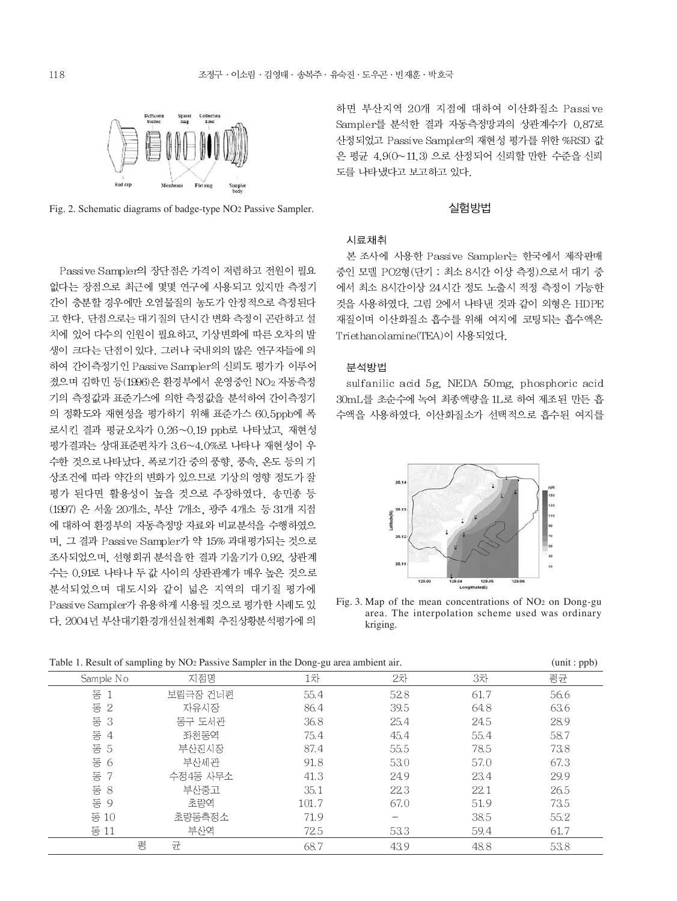

Fig. 2. Schematic diagrams of badge-type NO2 Passive Sampler.

Passive Sampler의 장단점은 가격이 저렴하고 전원이 필요 없다는 장점으로 최근에 몇몇 연구에 사용되고 있지만 측정기 간이 충분할 경우에만 오염물질의 농도가 안정적으로 측정된다 고 한다. 단점으로는 대기질의 단시간 변화 측정이 곤란하고 설 치에 있어 다수의 인원이 필요하고, 기상변화에 따른 오차의 발 생이 크다는 단점이 있다. 그러나 국내외의 많은 연구자들에 의 하여 간이측정기인 Passive Sampler의 신뢰도 평가가 이루어 졌으며 김학민 등(1996)은 환경부에서 운영중인 NO2 자동측정 기의 측정값과 표준가스에 의한 측정값을 분석하여 간이측정기 의 정확도와 재현성을 평가하기 위해 표준가스 60.5ppb에 폭 로시킨 결과 평균오차가 0.26~0.19 ppb로 나타났고, 재현성 평가결과는 상대표준편차가 3.6~4.0%로 나타나 재현성이 우 수한 것으로 나타났다. 폭로기간 중의 풍향, 풍속, 온도 등의 기 상조건에 따라 약간의 변화가 있으므로 기상의 영향 정도가 잘 평가 된다면 활용성이 높을 것으로 주장하였다. 송민종 등 (1997) 은 서울 20개소, 부산 7개소, 광주 4개소 등 31개 지점 에 대하여 환경부의 자동측정망 자료와 비교분석을 수행하였으 며, 그 결과 Passive Sampler가 약 15% 과대평가되는 것으로 조사되었으며, 선형회귀 분석을 한 결과 기울기가 0.92, 상관계 수는 0.91로 나타나 두 값 사이의 상관관계가 매우 높은 것으로 분석되었으며 대도시와 같이 넓은 지역의 대기질 평가에 Passive Sampler가 유용하게 시용될 것으로 평가한 사례도 있 다. 2004년 부산대기환경개선실천계획 추진상황분석평가에 의

하면 부산지역 20개 지점에 대하여 이산화질소 Passive Sampler를 분석한 결과 자동측정망과의 상관계수가 0.87로 산정되었고 Passive Sampler의 재현성 평가를 위한 %RSD 값 은 평균 4.9(0~11.3) 으로 산정되어 신뢰할 만한 수준을 신뢰 도를 나타냈다고 보고하고 있다.

#### 실험방법

# 시료채취

본 조사에 사용한 Passive Sampler는 한국에서 제작판매 중인 모델 PO2형(단기 : 최소 8시간 이상 측정)으로서 대기 중 에서 최소 8시간이상 24시간 정도 노출시 적정 측정이 가능한 것을 사용하였다. 그림 2에서 나타낸 것과 같이 외형은 HDPE 재질이며 이산화질소 흡수를 위해 여지에 코팅되는 흡수액은 Triethanolamine(TEA)이 사용되었다.

### 분석방법

sulfanilic acid 5g, NEDA 50mg, phosphoric acid 30mL를 초순수에 녹여 최종액량을 1L로 하여 제조된 만든 흡 수액을 사용하였다. 이산화질소가 선택적으로 흡수된 여지를



Fig. 3. Map of the mean concentrations of NO2 on Dong-gu area. The interpolation scheme used was ordinary kriging.

| Table 1. Result of sampling by INO2 Fassive Sampler in the Dong-gu area ambient an. |   |          |       |      |      | $(u$ $(u)$ . pp $(v)$ |
|-------------------------------------------------------------------------------------|---|----------|-------|------|------|-----------------------|
| Sample No                                                                           |   | 지점명      | 1차    | 2차   | 3차   | 평균                    |
| 동                                                                                   |   | 보림극장 건너편 | 55.4  | 52.8 | 61.7 | 56.6                  |
| 동 2                                                                                 |   | 자유시장     | 86.4  | 39.5 | 64.8 | 63.6                  |
| 동 3                                                                                 |   | 동구 도서관   | 36.8  | 25.4 | 24.5 | 28.9                  |
| 동 4                                                                                 |   | 좌천동역     | 75.4  | 45.4 | 55.4 | 58.7                  |
| 동 5                                                                                 |   | 부산진시장    | 87.4  | 55.5 | 78.5 | 73.8                  |
| 동 6                                                                                 |   | 부산세관     | 91.8  | 53.0 | 57.0 | 67.3                  |
| 동 7                                                                                 |   | 수정4동 사무소 | 41.3  | 24.9 | 23.4 | 29.9                  |
| 동 $8$                                                                               |   | 부산중고     | 35.1  | 22.3 | 22.1 | 26.5                  |
| 동 9                                                                                 |   | 초량역      | 101.7 | 67.0 | 51.9 | 73.5                  |
| 동 10                                                                                |   | 초량동측정소   | 71.9  |      | 38.5 | 55.2                  |
| 동 11                                                                                |   | 부산역      | 72.5  | 53.3 | 59.4 | 61.7                  |
|                                                                                     | 평 | 균        | 68.7  | 43.9 | 48.8 | 53.8                  |

Table 1. Result of sampling by NO2 Passive Sampler in the Dong-gu area ambient air. (unit : ppb)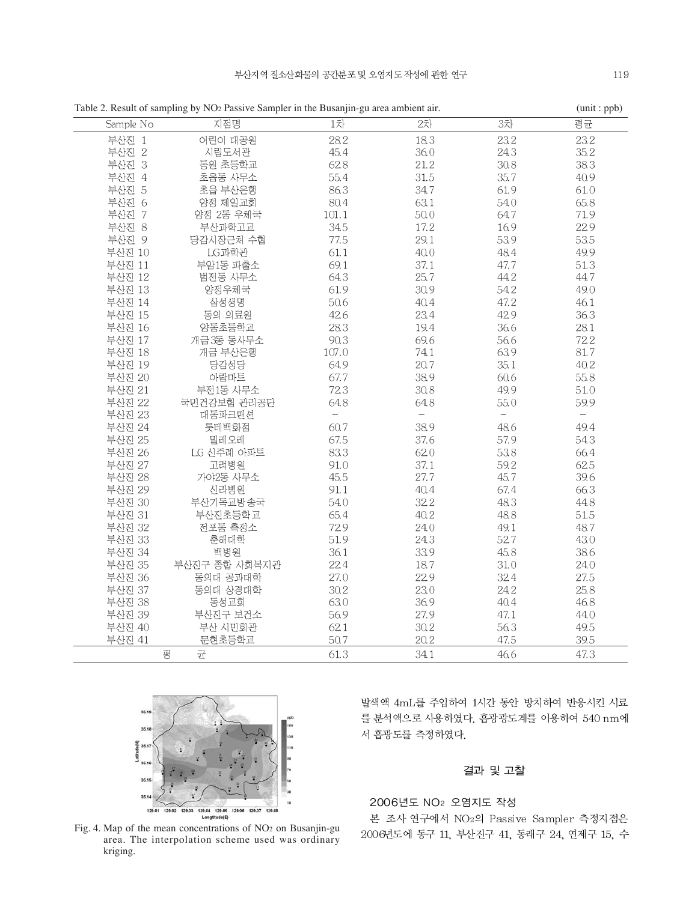| Sample No | 지점명           | 1차       | 2차   | 3차   | 평균                       |
|-----------|---------------|----------|------|------|--------------------------|
| 부산진 1     | 어린이 대공원       | 28.2     | 18.3 | 23.2 | 23.2                     |
| 부산진 2     | 시립도서관         | 45.4     | 36.0 | 243  | 35.2                     |
| 부산진 3     | 동원 초등학교       | 62.8     | 21.2 | 30.8 | 38.3                     |
| 부산진 4     | 초읍동 사무소       | 55.4     | 31.5 | 35.7 | 40.9                     |
| 부산진 5     | 초읍 부산은행       | 86.3     | 34.7 | 61.9 | 61.0                     |
| 부산진 6     | 양정 제일교회       | 80.4     | 63.1 | 54.0 | 65.8                     |
| 부산진 7     | 양정 2동 우체국     | 101.1    | 50.0 | 64.7 | 71.9                     |
| 부산진 8     | 부산과학고교        | 34.5     | 17.2 | 16.9 | 22.9                     |
| 부산진 9     | 당감시장근처 수협     | 77.5     | 29.1 | 53.9 | 53.5                     |
| 부산진 10    | LG과학관         | 61.1     | 40.0 | 48.4 | 49.9                     |
| 부산진 11    | 부암1동 과출소      | 69.1     | 37.1 | 47.7 | 51.3                     |
| 부산진 12    | 범전동 사무소       | 64.3     | 25.7 | 44.2 | 44.7                     |
| 부산진 13    | 양정우체국         | 61.9     | 30.9 | 54.2 | 49.0                     |
| 부산진 14    | 삼성생명          | 50.6     | 40.4 | 47.2 | 46.1                     |
| 부산진 15    | 동의 의료원        | 42.6     | 23.4 | 42.9 | 36.3                     |
| 부산진 16    | 양동초등학교        | 28.3     | 19.4 | 36.6 | 28.1                     |
| 부산진 17    | 개금3동 동사무소     | 90.3     | 69.6 | 56.6 | 722                      |
| 부산진 18    | 개금 부산은행       | 107.0    | 741  | 63.9 | 81.7                     |
| 부산진 19    | 당감성당          | 64.9     | 20.7 | 35.1 | 40.2                     |
| 부산진 20    | 아랍마트          | 67.7     | 38.9 | 60.6 | 55.8                     |
| 부산진 21    | 부전1동 사무소      | 72.3     | 30.8 | 49.9 | 51.0                     |
| 부산진 22    | 국민건강보험 관리공단   | 64.8     | 64.8 | 55.0 | 59.9                     |
| 부산진 23    | 대동파크맨션        | $\equiv$ | $-$  | $-$  | $\overline{\phantom{0}}$ |
| 부산진 24    | 롯데백화점         | 60.7     | 38.9 | 48.6 | 49.4                     |
| 부산진 25    | 밀레오레          | 67.5     | 37.6 | 57.9 | 543                      |
| 부산진 26    | LG 신주례 아파트    | 83.3     | 620  | 53.8 | 66.4                     |
| 부산진 27    | 고려병원          | 91.0     | 37.1 | 59.2 | 625                      |
| 부산진 28    | 가야2동 사무소      | 45.5     | 27.7 | 45.7 | 39.6                     |
| 부산진 29    | 신라병원          | 91.1     | 40.4 | 67.4 | 66.3                     |
| 부산진 30    | 부산기독교방송국      | 54.0     | 322  | 48.3 | 44.8                     |
| 부산진 31    | 부산진초등학교       | 65.4     | 40.2 | 48.8 | 51.5                     |
| 부산진 32    | 전포동 측정소       | 72.9     | 24.0 | 49.1 | 48.7                     |
| 부산진 33    | 춘해대학          | 51.9     | 243  | 527  | 43.0                     |
| 부산진 34    | 백병원           | 36.1     | 33.9 | 45.8 | 38.6                     |
| 부산진 35    | 부산진구 종합 사회복지관 | 22.4     | 18.7 | 31.0 | 24.0                     |
| 부산진 36    | 동의대 공과대학      | 27.0     | 22.9 | 32.4 | 27.5                     |
| 부산진 37    | 동의대 상경대학      | 30.2     | 23.0 | 24.2 | 25.8                     |
| 부산진 38    | 동성교회          | 63.0     | 36.9 | 40.4 | 46.8                     |
| 부산진 39    | 부산진구 보건소      | 56.9     | 27.9 | 47.1 | 44.0                     |
| 부산진 40    | 부산 시민회관       | 62.1     | 30.2 | 56.3 | 49.5                     |
| 부산진 41    | 문현초등학교        | 50.7     | 20.2 | 47.5 | 39.5                     |
|           | 균<br>평        | 61.3     | 341  | 46.6 | 47.3                     |

Table 2. Result of sampling by NO<sub>2</sub> Passive Sampler in the Busanjin-gu area ambient air. (unit : ppb)



Fig. 4. Map of the mean concentrations of NO2 on Busanjin-gu area. The interpolation scheme used was ordinary kriging.

발색액 4mL를 주입하여 1시간 동안 방치하여 반응시킨 시료 를 분석액으로 사용하였다. 흡광광도계를 이용하여 540 nm에 서 흡광도를 측정하였다.

# 결과 및 고찰

# 2006년도 NO<sub>2</sub> 오염지도 작성

본 조사 연구에서 NO2의 Passive Sampler 측정지점은 2006년도에 동구 11, 부산진구 41, 동래구 24, 연제구 15, 수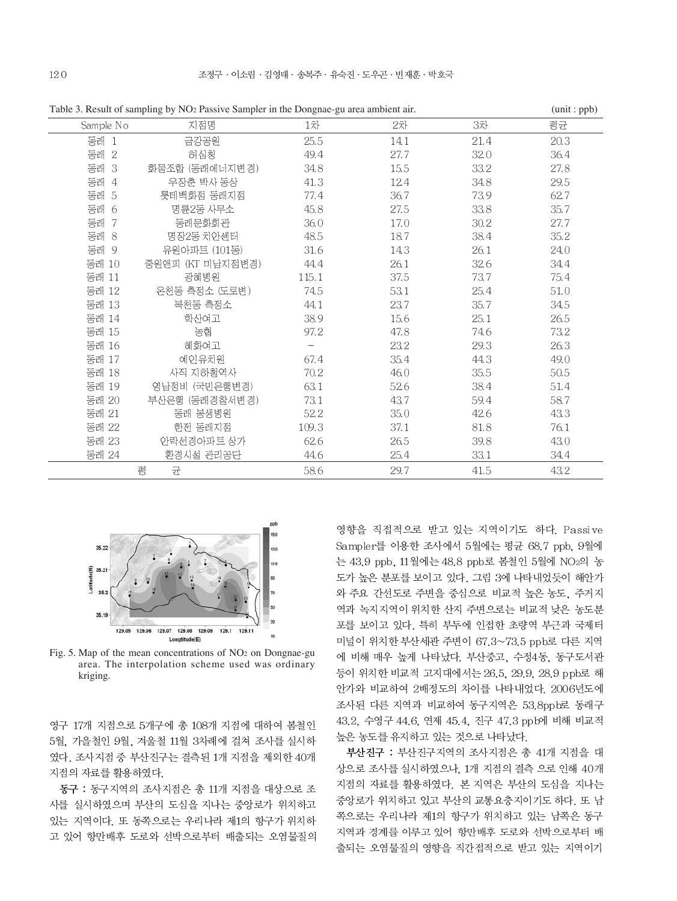| Sample No | 지점명              | 1차    | 2차   | 3차       | 평균   |
|-----------|------------------|-------|------|----------|------|
| 동래 1      | 금강공원             | 25.5  | 14.1 | 21.4     | 20.3 |
| 동래 2      | 허심청              | 49.4  | 27.7 | 32.0     | 36.4 |
| 동래 3      | 화물조합 (동래에너지변경)   | 34.8  | 15.5 | 33.2     | 27.8 |
| 동래 4      | 우장춘 박사 동상        | 41.3  | 12.4 | 34.8     | 29.5 |
| 동래 5      | 롯데백화점 동래지점       | 77.4  | 36.7 | 73.9     | 62.7 |
| 동래 6      | 명륜2동 사무소         | 45.8  | 27.5 | 33.8     | 35.7 |
| 동래 7      | 동래문화회관           | 36.0  | 17.0 | $30.2\,$ | 27.7 |
| 동래 8      | 명장2동 치안센터        | 48.5  | 18.7 | 38.4     | 35.2 |
| 동래 9      | 유원아파트 (101동)     | 31.6  | 14.3 | 26.1     | 24.0 |
| 동래 10     | 중원앤피 (KT 미남지점변경) | 44.4  | 26.1 | 32.6     | 34.4 |
| 동래 11     | 광혜병원             | 115.1 | 37.5 | 73.7     | 75.4 |
| 동래 12     | 온천동 측정소 (도로변)    | 74.5  | 53.1 | 25.4     | 51.0 |
| 동래 13     | 복천동 측정소          | 44.1  | 23.7 | 35.7     | 34.5 |
| 동래 14     | 학산여고             | 38.9  | 15.6 | 25.1     | 26.5 |
| 동래 15     | 농협               | 97.2  | 47.8 | 74.6     | 73.2 |
| 동래 16     | 헤화여고             | $-$   | 23.2 | 29.3     | 26.3 |
| 동래 17     | 예인유치원            | 67.4  | 35.4 | 44.3     | 49.0 |
| 동래 18     | 사직 지하철역사         | 70.2  | 46.0 | 35.5     | 50.5 |
| 동래 19     | 영남정비 (국민은행변경)    | 63.1  | 52.6 | 38.4     | 51.4 |
| 동래 20     | 부산은행 (동래경찰서변경)   | 73.1  | 43.7 | 59.4     | 58.7 |
| 동래 21     | 동래 봉생병원          | 52.2  | 35.0 | 42.6     | 43.3 |
| 동래 22     | 한전 동래지점          | 109.3 | 37.1 | 81.8     | 76.1 |
| 동래 23     | 안락선경아파트 상가       | 62.6  | 26.5 | 39.8     | 43.0 |
| 동래 24     | 환경시설 관리공단        | 44.6  | 25.4 | 33.1     | 34.4 |
|           | 균<br>평           | 58.6  | 29.7 | 41.5     | 43.2 |

Table 3. Result of sampling by NO<sub>2</sub> Passive Sampler in the Dongnae-gu area ambient air. (unit : ppb)



Fig. 5. Map of the mean concentrations of NO2 on Dongnae-gu area. The interpolation scheme used was ordinary kriging.

영구 17개 지점으로 5개구에 총 108개 지점에 대하여 봄철인 5월, 가을철인 9월, 겨울철 11월 3차례에 걸쳐 조사를 실시하 였다. 조사지점 중 부산진구는 결측된 1개 지점을 제외한 40개 지점의 자료를 활용하였다.

동구 : 동구지역의 조사지점은 총 11개 지점을 대상으로 조 사를 실시하였으며 부산의 도심을 지나는 중앙로가 위치하고 있는 지역이다. 또 동쪽으로는 우리나라 제1의 항구가 위치하 고 있어 항만배후 도로와 선박으로부터 배출되는 오염물질의

영향을 직접적으로 받고 있는 지역이기도 하다. Passive Sampler를 이용한 조사에서 5월에는 평균 68.7 ppb, 9월에 는 43.9 ppb, 11월에는 48.8 ppb로 봄철인 5월에 NO2의 농 도가 높은 분포를 보이고 있다. 그림 3에 나타내었듯이 해안가 와 주요 간선도로 주변을 중심으로 비교적 높은 농도, 주거지 역과 녹지지역이 위치한 산지 주변으로는 비교적 낮은 농도분 포를 보이고 있다. 특히 부두에 인접한 초량역 부근과 국제터 미널이 위치한 부산세관 주변이 67.3~73.5 ppb로 다른 지역 에 비해 매우 높게 나타났다. 부산중고, 수정4동, 동구도서관 등이 위치한 비교적 고지대에서는 26.5, 29.9, 28.9 ppb로 해 안가와 비교하여 2배정도의 차이를 나타내었다. 2006년도에 조사된 다른 지역과 비교하여 동구지역은 53.8ppb로 동래구 43.2, 수영구 44.6, 연제 45.4, 진구 47.3 ppb에 비해 비교적 높은 농도를 유지하고 있는 것으로 나타났다.

부산진구 : 부산진구지역의 조사지점은 총 41개 지점을 대 상으로 조사를 실시하였으나, 1개 지점의 결측 으로 인해 40개 지점의 자료를 활용하였다. 본 지역은 부산의 도심을 지나는 중앙로가 위치하고 있고 부산의 교통요충지이기도 하다. 또 남 쪽으로는 우리나라 제1의 항구가 위치하고 있는 남쪽은 동구 지역과 경계를 이루고 있어 항만배후 도로와 선박으로부터 배 출되는 오염물질의 영향을 직간접적으로 받고 있는 지역이기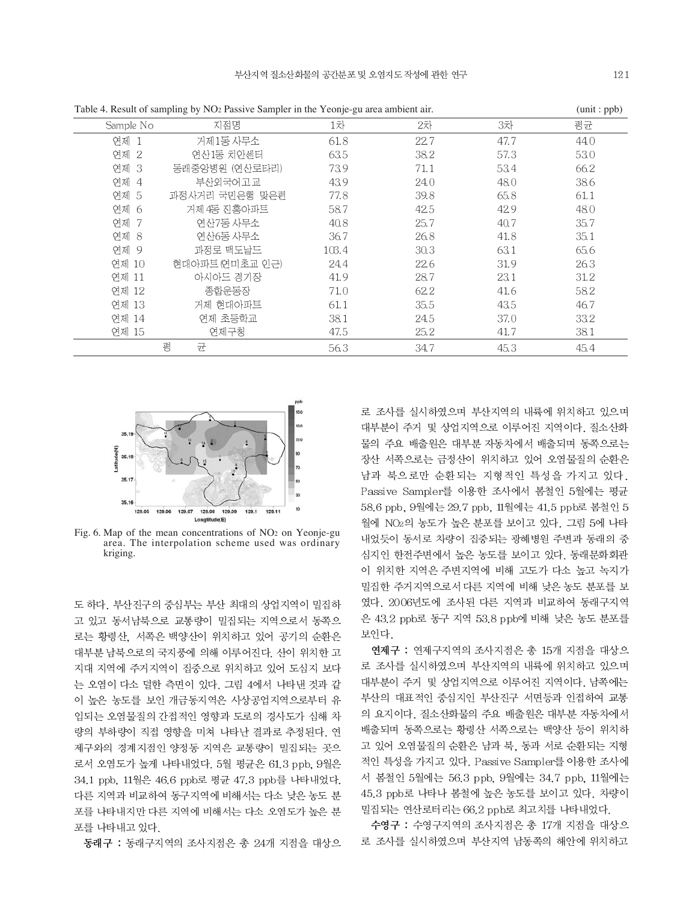|           | Table 4. Result of sampling by NO <sub>2</sub> Passive Sampler in the Yeonje-gu area ambient air. |       |      |      | (unit : $pp$ ) |
|-----------|---------------------------------------------------------------------------------------------------|-------|------|------|----------------|
| Sample No | 지점명                                                                                               | 1차    | 2차   | 3차   | 평균             |
| 연제 1      | 거제1동 사무소                                                                                          | 61.8  | 22.7 | 47.7 | 44.0           |
| 연제 2      | 연산1동 치안센터                                                                                         | 63.5  | 38.2 | 57.3 | 53.0           |
| 연제 3      | 동래중앙병원 (연산로타리)                                                                                    | 73.9  | 71.1 | 53.4 | 66.2           |
| 연제 4      | 부산외국어고교                                                                                           | 43.9  | 24.0 | 48.0 | 38.6           |
| 연제 5      | 과정사거리 국민은행 맞은편                                                                                    | 77.8  | 39.8 | 65.8 | 61.1           |
| 연제 6      | 거제 4동 진흥아파트                                                                                       | 58.7  | 42.5 | 42.9 | 48.0           |
| 연제 7      | 연산7동 사무소                                                                                          | 40.8  | 25.7 | 40.7 | 35.7           |
| 연제 8      | 연산6동 사무소                                                                                          | 36.7  | 26.8 | 41.8 | 35.1           |
| 연제 9      | 과정로 맥도날드                                                                                          | 103.4 | 30.3 | 63.1 | 65.6           |
| 연제 10     | 현대아파트 (연미초교 인근)                                                                                   | 24.4  | 22.6 | 31.9 | 26.3           |
| 연제 11     | 아시아드 경기장                                                                                          | 41.9  | 28.7 | 23.1 | 31.2           |
| 연제 12     | 종합운동장                                                                                             | 71.0  | 62.2 | 41.6 | 58.2           |
| 연제 13     | 거제 현대아파트                                                                                          | 61.1  | 35.5 | 43.5 | 46.7           |
| 연제 14     | 연제 초등학교                                                                                           | 38.1  | 24.5 | 37.0 | 33.2           |
| 연제 15     | 연제구청                                                                                              | 47.5  | 25.2 | 41.7 | 38.1           |
|           | 평<br>균                                                                                            | 56.3  | 34.7 | 45.3 | 45.4           |



Fig. 6. Map of the mean concentrations of NO<sub>2</sub> on Yeonje-gu area. The interpolation scheme used was ordinary kriging.

도 하다. 부산진구의 중심부는 부산 최대의 상업지역이 밀집하 고 있고 동서남북으로 교통량이 밀집되는 지역으로서 동쪽으 로는 황령산, 서쪽은 백양산이 위치하고 있어 공기의 순환은 대부분 남북으로의 국지풍에 의해 이루어진다. 산이 위치한 고 지대 지역에 주거지역이 집중으로 위치하고 있어 도심지 보다 는 오염이 다소 덜한 측면이 있다. 그림 4에서 나타낸 것과 같 이 높은 농도를 보인 개금동지역은 사상공업지역으로부터 유 입되는 오염물질의 간접적인 영향과 도로의 경사도가 심해 차 량의 부하량이 직접 영향을 미쳐 나타난 결과로 추정된다. 연 제구와의 경계지점인 양정동 지역은 교통량이 밀집되는 곳으 로서 오염도가 높게 나타내었다. 5월 평균은 61.3 ppb, 9월은 34.1 ppb, 11월은 46.6 ppb로 평균 47.3 ppb를 나타내었다. 다른 지역과 비교하여 동구지역에 비해서는 다소 낮은 농도 분 포를 나타내지만 다른 지역에 비해서는 다소 오염도가 높은 분 포를 나타내고 있다.

동래구 : 동래구지역의 조사지점은 총 24개 지점을 대상으

로 조사를 실시하였으며 부산지역의 내륙에 위치하고 있으며 대부분이 주거 및 상업지역으로 이루어진 지역이다. 질소산화 물의 주요 배출원은 대부분 자동차에서 배출되며 동쪽으로는 장산 서쪽으로는 금정산이 위치하고 있어 오염물질의 순환은 남과 북으로만 순환되는 지형적인 특성을 가지고 있다. Passive Sampler를 이용한 조사에서 봄철인 5월에는 평균 58.6 ppb, 9월에는 29.7 ppb, 11월에는 41.5 ppb로 봄철인 5 월에 NO2의 농도가 높은 분포를 보이고 있다. 그림 5에 나타 내었듯이 동서로 차량이 집중되는 광혜병원 주변과 동래의 중 심지인 한전주변에서 높은 농도를 보이고 있다. 동래문화회관 이 위치한 지역은 주변지역에 비해 고도가 다소 높고 녹지가 밀집한 주거지역으로서 다른 지역에 비해 낮은 농도 분포를 보 였다. 2006년도에 조사된 다른 지역과 비교하여 동래구지역 은 43.2 ppb로 동구 지역 53.8 ppb에 비해 낮은 농도 분포를 보인다

연제구 : 연제구지역의 조사지점은 총 15개 지점을 대상으 로 조사를 실시하였으며 부산지역의 내륙에 위치하고 있으며 대부분이 주거 및 상업지역으로 이루어진 지역이다. 남쪽에는 부산의 대표적인 중심지인 부산진구 서면등과 인접하여 교통 의 요지이다. 질소산화물의 주요 배출원은 대부분 자동차에서 배출되며 동쪽으로는 황령산 서쪽으로는 백양산 등이 위치하 고 있어 오염물질의 순환은 남과 북, 동과 서로 순환되는 지형 적인 특성을 가지고 있다. Passive Sampler를 이용한 조사에 서 봄철인 5월에는 56.3 ppb, 9월에는 34.7 ppb, 11월에는 45.3 ppb로 나타나 봄철에 높은 농도를 보이고 있다. 차량이 밀집되는 연산로터리는 66.2 ppb로 최고치를 나타내었다.

수영구 : 수영구지역의 조사지점은 총 17개 지점을 대상으 로 조사를 실시하였으며 부산지역 남동쪽의 해안에 위치하고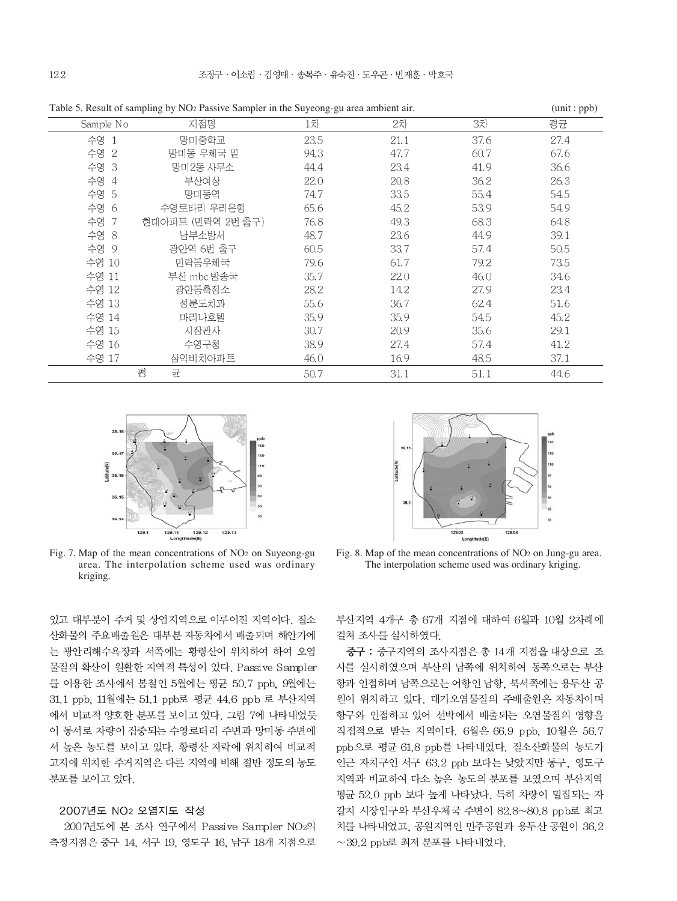|           | Table 5. Result of sampling by 1902 I assive Sampler in the Suyeong gu area amolem and |      |      |      | $\mu$ . |
|-----------|----------------------------------------------------------------------------------------|------|------|------|---------|
| Sample No | 지점명                                                                                    | 1차   | 2차   | 3차   | 평균      |
| 수영 1      | 망미중학교                                                                                  | 23.5 | 21.1 | 37.6 | 27.4    |
| 수영 2      | 망미동 우체국 밑                                                                              | 94.3 | 47.7 | 60.7 | 67.6    |
| 수영 3      | 망미2동 사무소                                                                               | 44.4 | 23.4 | 41.9 | 36.6    |
| 수영 4      | 부산여상                                                                                   | 22.0 | 20.8 | 36.2 | 26.3    |
| 수영 5      | 망미동역                                                                                   | 74.7 | 33.5 | 55.4 | 54.5    |
| 수영 6      | 수영로타리 우리은행                                                                             | 65.6 | 45.2 | 53.9 | 54.9    |
| 수영 7      | 현대아파트 (민락역 2번 출구)                                                                      | 76.8 | 49.3 | 68.3 | 64.8    |
| 수영 8      | 남부소방서                                                                                  | 48.7 | 23.6 | 44.9 | 39.1    |
| 수영 9      | 광안역 6번 출구                                                                              | 60.5 | 33.7 | 57.4 | 50.5    |
| 수영 10     | 민락동우체국                                                                                 | 79.6 | 61.7 | 79.2 | 73.5    |
| 수영 11     | 부산 mbc 방송국                                                                             | 35.7 | 22.0 | 46.0 | 34.6    |
| 수영 12     | 광안동측정소                                                                                 | 28.2 | 14.2 | 27.9 | 23.4    |
| 수영 13     | 성분도치과                                                                                  | 55.6 | 36.7 | 62.4 | 51.6    |
| 수영 14     | 마리나호텔                                                                                  | 35.9 | 35.9 | 54.5 | 45.2    |
| 수영 15     | 시장관사                                                                                   | 30.7 | 20.9 | 35.6 | 29.1    |
| 수영 16     | 수영구청                                                                                   | 38.9 | 27.4 | 57.4 | 41.2    |
| 수영 17     | 삼익비치아파트                                                                                | 46.0 | 16.9 | 48.5 | 37.1    |
|           | 평<br>균                                                                                 | 50.7 | 31.1 | 51.1 | 44.6    |

Table 5. Result of sampling by NO<sub>2</sub> Passive Sampler in the Suyeong-gu area ambient air. (unit : ppb)



Fig. 7. Map of the mean concentrations of NO2 on Suyeong-gu area. The interpolation scheme used was ordinary kriging.

있고 대부분이 주거 및 상업지역으로 이루어진 지역이다. 질소 산화물의 주요배출원은 대부분 자동차에서 배출되며 해안가에 는 광안리해수욕장과 서쪽에는 황령산이 위치하여 하여 오염 물질의 확산이 원활한 지역적 특성이 있다. Passive Sampler 를 이용한 조사에서 봄철인 5월에는 평균 50.7 ppb, 9월에는 31.1 ppb, 11월에는 51.1 ppb로 평균 44.6 ppb 로 부산지역 에서 비교적 양호한 분포를 보이고 있다. 그림 7에 나타내었듯 이 동서로 차량이 집중되는 수영로터리 주변과 망미동 주변에 서 높은 농도를 보이고 있다. 황령산 자락에 위치하여 비교적 고지에 위치한 주거지역은 다른 지역에 비해 절반 정도의 농도 분포를 보이고 있다.

#### 2007년도 NO<sub>2</sub> 오염지도 작성

2007년도에 본 조사 연구에서 Passive Sampler NO2의 측정지점은 중구 14, 서구 19, 영도구 16, 남구 18개 지점으로



Fig. 8. Map of the mean concentrations of NO2 on Jung-gu area. The interpolation scheme used was ordinary kriging.

부산지역 4개구 총 67개 지점에 대하여 6월과 10월 2차례에 걸쳐 조사를 실시하였다.

중구 : 중구지역의 조사지점은 총 14개 지점을 대상으로 조 사를 실시하였으며 부산의 남쪽에 위치하여 동쪽으로는 부산 항과 인접하며 남쪽으로는 어항인 남항, 북서쪽에는 용두산 공 원이 위치하고 있다. 대기오염물질의 주배출원은 자동차이며 항구와 인접하고 있어 선박에서 배출되는 오염물질의 영향을 직접적으로 받는 지역이다. 6월은 66.9 ppb, 10월은 56.7 ppb으로 평균 61.8 ppb를 나타내었다. 질소산화물의 농도가 인근 자치구인 서구 63.2 ppb 보다는 낮았지만 동구, 영도구 지역과 비교하여 다소 높은 농도의 분포를 보였으며 부산지역 평균 52.0 ppb 보다 높게 나타났다. 특히 차량이 밀집되는 자 갈치 시장입구와 부산우체국 주변이 82.8~80.8 ppb로 최고 치를 나타내었고, 공원지역인 민주공원과 용두산 공원이 36.2  $\sim$  39.2 ppb로 최저 분포를 나타내었다.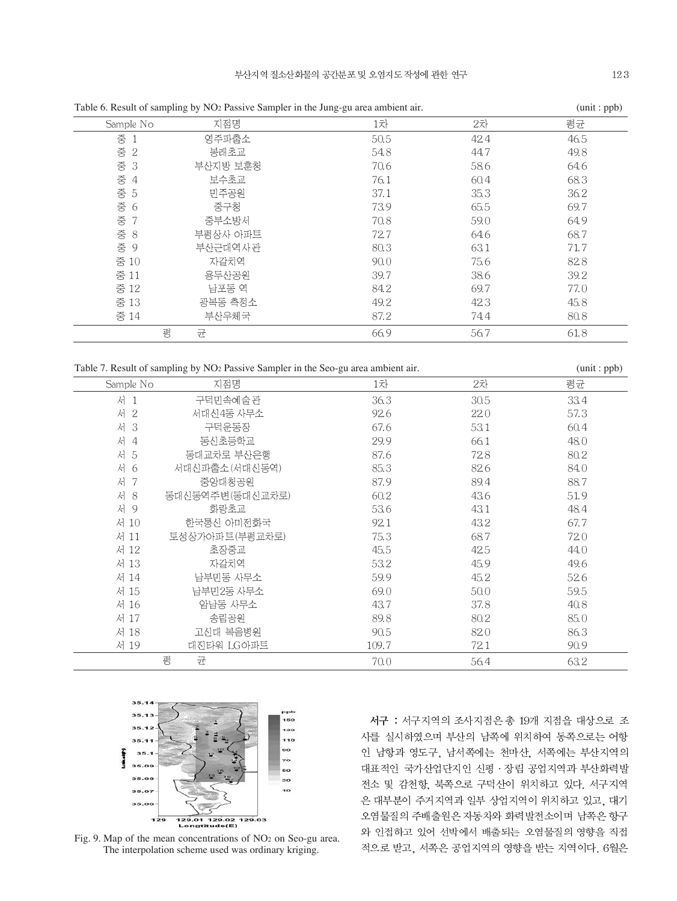|                     | Table 6. Result of sampling by INO2 Passive Sampler in the Jung-gu area ambient air. |      | $(u)$ (unit : $pp$ |      |
|---------------------|--------------------------------------------------------------------------------------|------|--------------------|------|
| Sample No           | 지점명                                                                                  | 1차   | 2차                 | 평균   |
| 증 1                 | 영주파출소                                                                                | 50.5 | 42.4               | 46.5 |
| 중 2                 | 봉래초교                                                                                 | 54.8 | 44.7               | 49.8 |
| 중 3                 | 부산지방 보훈청                                                                             | 70.6 | 58.6               | 64.6 |
| 중<br>$\overline{4}$ | 보수초교                                                                                 | 76.1 | 60.4               | 68.3 |
| 중 5                 | 민주공원                                                                                 | 37.1 | 35.3               | 36.2 |
| 중 6                 | 중구청                                                                                  | 73.9 | 65.5               | 69.7 |
| 중 7                 | 중부소방서                                                                                | 70.8 | 59.0               | 64.9 |
| 중 $8$               | 부평상사 아파트                                                                             | 72.7 | 64.6               | 68.7 |
| 중 9                 | 부산근대역사관                                                                              | 80.3 | 63.1               | 71.7 |
| 중 10                | 자갈치역                                                                                 | 90.0 | 75.6               | 82.8 |
| 중 11                | 용두산공원                                                                                | 39.7 | 38.6               | 39.2 |
| 중 12                | 남포동 역                                                                                | 84.2 | 69.7               | 77.0 |
| 중 13                | 광복동 측정소                                                                              | 49.2 | 42.3               | 45.8 |
| 중 14                | 부산우체국                                                                                | 87.2 | 74.4               | 80.8 |
| 평                   | 균                                                                                    | 66.9 | 56.7               | 61.8 |
|                     |                                                                                      |      |                    |      |

Table 6. Result of sampling by NO2 Passive Sampler in the Jung-gu area ambient air. (unit : ppb)

|                     | Table 7. Result of sampling by NO <sub>2</sub> Passive Sampler in the Seo-gu area ambient air. |       |      | (unit:ppb) |
|---------------------|------------------------------------------------------------------------------------------------|-------|------|------------|
| Sample No           | 지점명                                                                                            | 1차    | 2차   | 평균         |
| 서<br>$\overline{1}$ | 구덕민속예술관                                                                                        | 36.3  | 30.5 | 33.4       |
| 서<br>$\overline{2}$ | 서대신4동 사무소                                                                                      | 92.6  | 22.0 | 57.3       |
| 서<br>-3             | 구덕운동장                                                                                          | 67.6  | 53.1 | 60.4       |
| 서<br>$\overline{4}$ | 동신초등학교                                                                                         | 29.9  | 66.1 | 48.0       |
| 서<br>-5             | 동대교차로 부산은행                                                                                     | 87.6  | 72.8 | 80.2       |
| 서<br>- 6            | 서대신파출소(서대신동역)                                                                                  | 85.3  | 82.6 | 84.0       |
| 서<br>-7             | 중앙대청공원                                                                                         | 87.9  | 89.4 | 88.7       |
| 서<br>8              | 동대신동역주변(동대신교차로)                                                                                | 60.2  | 43.6 | 51.9       |
| 서 9                 | 화랑초교                                                                                           | 53.6  | 43.1 | 48.4       |
| 서 10                | 한국통신 아미전화국                                                                                     | 92.1  | 43.2 | 67.7       |
| 서 11                | 토성상가아파트(부평교차로)                                                                                 | 75.3  | 68.7 | 72.0       |
| 서 12                | 초장중교                                                                                           | 45.5  | 42.5 | 44.0       |
| 서 13                | 자갈치역                                                                                           | 53.2  | 45.9 | 49.6       |
| 서 14                | 남부민동 사무소                                                                                       | 59.9  | 45.2 | 52.6       |
| 서 15                | 남부민2동 사무소                                                                                      | 69.0  | 50.0 | 59.5       |
| 서 16                | 암남동 사무소                                                                                        | 43.7  | 37.8 | 40.8       |
| 서 17                | 송림공원                                                                                           | 89.8  | 80.2 | 85.0       |
| 서 18                | 고신대 복음병원                                                                                       | 90.5  | 82.0 | 86.3       |
| 서 19                | 대진타워 LG아파트                                                                                     | 109.7 | 72.1 | 90.9       |
|                     | 평<br>균                                                                                         | 70.0  | 56.4 | 63.2       |



Fig. 9. Map of the mean concentrations of NO2 on Seo-gu area. The interpolation scheme used was ordinary kriging.

서구 : 서구지역의 조사지점은 총 19개 지점을 대상으로 조 사를 실시하였으며 부산의 남쪽에 위치하여 동쪽으로는 어항 인 남항과 영도구, 남서쪽에는 천마산, 서쪽에는 부산지역의 대표적인 국가산업단지인 신평 · 장림 공업지역과 부산화력발 전소 및 감천항, 북쪽으로 구덕산이 위치하고 있다. 서구지역 은 대부분이 주거지역과 일부 상업지역이 위치하고 있고, 대기 오염물질의 주배출원은 자동차와 화력발전소이며 남쪽은 항구 와 인접하고 있어 선박에서 배출되는 오염물질의 영향을 직접 적으로 받고, 서쪽은 공업지역의 영향을 받는 지역이다. 6월은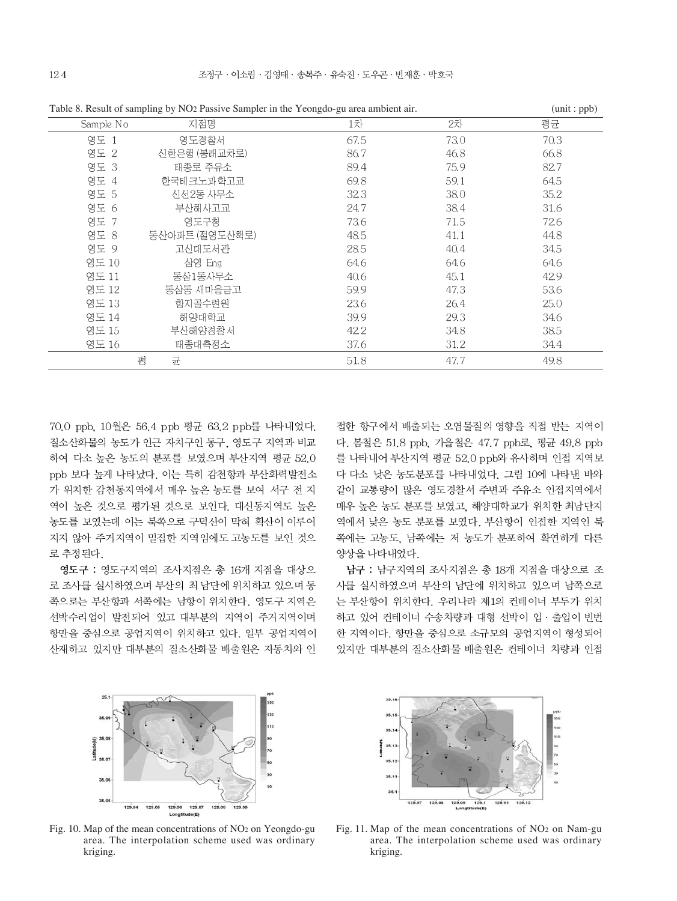|           | Table 0. Result of sampling by TOZ I assive Sampler in the Teoliguo-gu area ambient an. |      |      | $\mu$ . $\mu$ |
|-----------|-----------------------------------------------------------------------------------------|------|------|---------------|
| Sample No | 지점명                                                                                     | 1차   | 2차   | 평균            |
| 영도 1      | 영도경찰서                                                                                   | 67.5 | 73.0 | 70.3          |
| 영도 2      | 신한은행 (봉래교차로)                                                                            | 86.7 | 46.8 | 66.8          |
| 영도 3      | 태종로 주유소                                                                                 | 89.4 | 75.9 | 82.7          |
| 영도 4      | 한국테크노과학고교                                                                               | 69.8 | 59.1 | 64.5          |
| 영도 5      | 신선2동 사무소                                                                                | 323  | 38.0 | 35.2          |
| 영도 6      | 부산해사고교                                                                                  | 24.7 | 38.4 | 31.6          |
| 영도 7      | 영도구청                                                                                    | 73.6 | 71.5 | 72.6          |
| 영도 8      | 동산아파트 (절영도산책로)                                                                          | 48.5 | 41.1 | 44.8          |
| 영도 9      | 고신대도서관                                                                                  | 28.5 | 40.4 | 34.5          |
| 영도 10     | 삼영 Eng                                                                                  | 64.6 | 64.6 | 64.6          |
| 영도 11     | 동삼1동사무소                                                                                 | 40.6 | 45.1 | 42.9          |
| 영도 12     | 동삼동 새마을금고                                                                               | 59.9 | 47.3 | 53.6          |
| 영도 13     | 학지골수련원                                                                                  | 23.6 | 26.4 | 25.0          |
| 영도 14     | 해양대학교                                                                                   | 39.9 | 29.3 | 34.6          |
| 영도 15     | 부산해양경찰서                                                                                 | 42.2 | 34.8 | 38.5          |
| 영도 16     | 태종대측정소                                                                                  | 37.6 | 31.2 | 34.4          |
|           | 평<br>균                                                                                  | 51.8 | 47.7 | 49.8          |

Table 8. Result of sampling by NO2 Passive Sampler in the Yeongdo-gu area ambient air. (unit : ppb)

70.0 ppb. 10월은 56.4 ppb 평균 63.2 ppb를 나타내었다. 질소산화물의 농도가 인근 자치구인 동구, 영도구 지역과 비교 하여 다소 높은 농도의 분포를 보였으며 부산지역 평균 52.0 ppb 보다 높게 나타났다. 이는 특히 감천항과 부산화력발전소 가 위치한 감천동지역에서 매우 높은 농도를 보여 서구 전 지 역이 높은 것으로 평가된 것으로 보인다. 대신동지역도 높은 농도를 보였는데 이는 북쪽으로 구덕산이 막혀 확산이 이루어 지지 않아 주거지역이 밀집한 지역임에도 고농도를 보인 것으 로 추정된다.

영도구 : 영도구지역의 조사지점은 총 16개 지점을 대상으 로 조사를 실시하였으며 부산의 최 남단에 위치하고 있으며 동 쪽으로는 부산항과 서쪽에는 남항이 위치한다. 영도구 지역은 선박수리업이 발전되어 있고 대부분의 지역이 주거지역이며 항만을 중심으로 공업지역이 위치하고 있다. 일부 공업지역이 산재하고 있지만 대부분의 질소산화물 배출원은 자동차와 인

접한 항구에서 배출되는 오염물질의 영향을 직접 받는 지역이 다. 봄철은 51.8 ppb. 가을철은 47.7 ppb로. 평균 49.8 ppb 를 나타내어 부산지역 평균 52.0 ppb와 유사하며 인접 지역보 다 다소 낮은 농도분포를 나타내었다. 그림 10에 나타낸 바와 같이 교통량이 많은 영도경찰서 주변과 주유소 인접지역에서 매우 높은 농도 분포를 보였고, 해양대학교가 위치한 최남단지 역에서 낮은 농도 분포를 보였다. 부산항이 인접한 지역인 북 쪽에는 고농도, 남쪽에는 저 농도가 분포하여 확연하게 다른 양상을 나타내었다.

남구 : 남구지역의 조사지점은 총 18개 지점을 대상으로 조 사를 실시하였으며 부산의 남단에 위치하고 있으며 남쪽으로 는 부산항이 위치한다. 우리나라 제1의 컨테이너 부두가 위치 하고 있어 컨테이너 수송차량과 대형 선박이 입 · 출입이 빈번 한 지역이다. 항만을 중심으로 소규모의 공업지역이 형성되어 있지만 대부분의 질소산화물 배출원은 컨테이너 차량과 인접



Fig. 10. Map of the mean concentrations of NO2 on Yeongdo-gu area. The interpolation scheme used was ordinary kriging.



Fig. 11. Map of the mean concentrations of NO2 on Nam-gu area. The interpolation scheme used was ordinary kriging.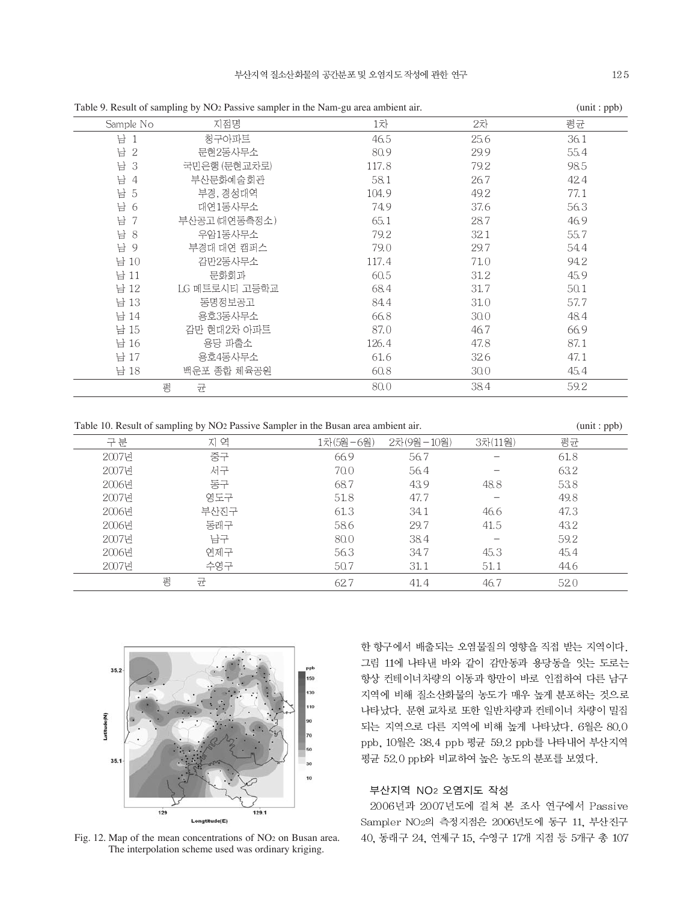|               |       |                                                                                       | $\mu$ . $\mu$ |
|---------------|-------|---------------------------------------------------------------------------------------|---------------|
| 지점명           | 1차    | 2차                                                                                    | 평균            |
| 청구아파트         | 46.5  | 25.6                                                                                  | 36.1          |
| 문현2동사무소       | 80.9  | 29.9                                                                                  | 55.4          |
| 국민은행 (문현교차로)  | 117.8 | 79.2                                                                                  | 98.5          |
| 부산문화예술회관      | 58.1  | 26.7                                                                                  | 42.4          |
| 부경, 경성대역      | 104.9 | 49.2                                                                                  | 77.1          |
| 대연1동사무소       | 74.9  | 37.6                                                                                  | 56.3          |
| 부산공고 (대연동측정소) | 65.1  | 28.7                                                                                  | 46.9          |
| 우암1동사무소       | 79.2  | 32.1                                                                                  | 55.7          |
| 부경대 대연 캠퍼스    | 79.0  | 29.7                                                                                  | 54.4          |
| 감만2동사무소       | 117.4 | 71.0                                                                                  | 94.2          |
| 문화회과          | 60.5  | 31.2                                                                                  | 45.9          |
| LG 메트로시티 고등학교 | 68.4  | 31.7                                                                                  | 50.1          |
| 동명정보공고        | 84.4  | 31.0                                                                                  | 57.7          |
| 용호3동사무소       | 66.8  | 30.0                                                                                  | 48.4          |
| 감만 현대2차 아파트   | 87.0  | 46.7                                                                                  | 66.9          |
| 용당 파출소        | 126.4 | 47.8                                                                                  | 87.1          |
| 용호4동사무소       | 61.6  | 32.6                                                                                  | 47.1          |
| 백운포 종합 체육공원   | 60.8  | 30.0                                                                                  | 45.4          |
| 평<br>균        | 80.0  | 38.4                                                                                  | 59.2          |
|               |       | табіс 2. кездік от запірних бу тублі аззгус запіркі пі піс гуані-ди акса апібісті ап. |               |

Table 9. Result of sampling by NO2 Passive sampler in the Nam-gu area ambient air. (unit : ppb)

Table 10. Result of sampling by NO2 Passive Sampler in the Busan area ambient air. (unit : ppb)

| 구분    | 지 역    | 1차(5월-6월) | 2차(9월-10월) | 3차(11월) | 평균   |  |
|-------|--------|-----------|------------|---------|------|--|
| 2007년 | 중구     | 66.9      | 56.7       |         | 61.8 |  |
| 2007년 | 서구     | 70.0      | 56.4       |         | 63.2 |  |
| 2006년 | 동구     | 68.7      | 43.9       | 48.8    | 53.8 |  |
| 2007년 | 영도구    | 51.8      | 47.7       |         | 49.8 |  |
| 2006년 | 부산진구   | 61.3      | 34.1       | 46.6    | 47.3 |  |
| 2006년 | 동래구    | 58.6      | 29.7       | 41.5    | 43.2 |  |
| 2007년 | 남구     | 80.0      | 38.4       |         | 59.2 |  |
| 2006년 | 연제구    | 56.3      | 34.7       | 45.3    | 45.4 |  |
| 2007년 | 수영구    | 50.7      | 31.1       | 51.1    | 44.6 |  |
|       | 평<br>균 | 62.7      | 41.4       | 46.7    | 520  |  |



Fig. 12. Map of the mean concentrations of NO2 on Busan area. The interpolation scheme used was ordinary kriging.

한 항구에서 배출되는 오염물질의 영향을 직접 받는 지역이다. 그림 11에 나타낸 바와 같이 감만동과 용당동을 잇는 도로는 항상 컨테이너차량의 이동과 항만이 바로 인접하여 다른 남구 지역에 비해 질소산화물의 농도가 매우 높게 분포하는 것으로 나타났다. 문현 교차로 또한 일반차량과 컨테이너 차량이 밀집 되는 지역으로 다른 지역에 비해 높게 나타났다. 6월은 80.0 ppb, 10월은 38.4 ppb 평균 59.2 ppb를 나타내어 부산지역 평균 52.0 ppb와 비교하여 높은 농도의 분포를 보였다.

### 부산지역 NO2 오염지도 작성

2006년과 2007년도에 걸쳐 본 조사 연구에서 Passive Sampler NO2의 측정지점은 2006년도에 동구 11, 부산진구 40, 동래구 24, 연제구 15, 수영구 17개 지점 등 5개구 총 107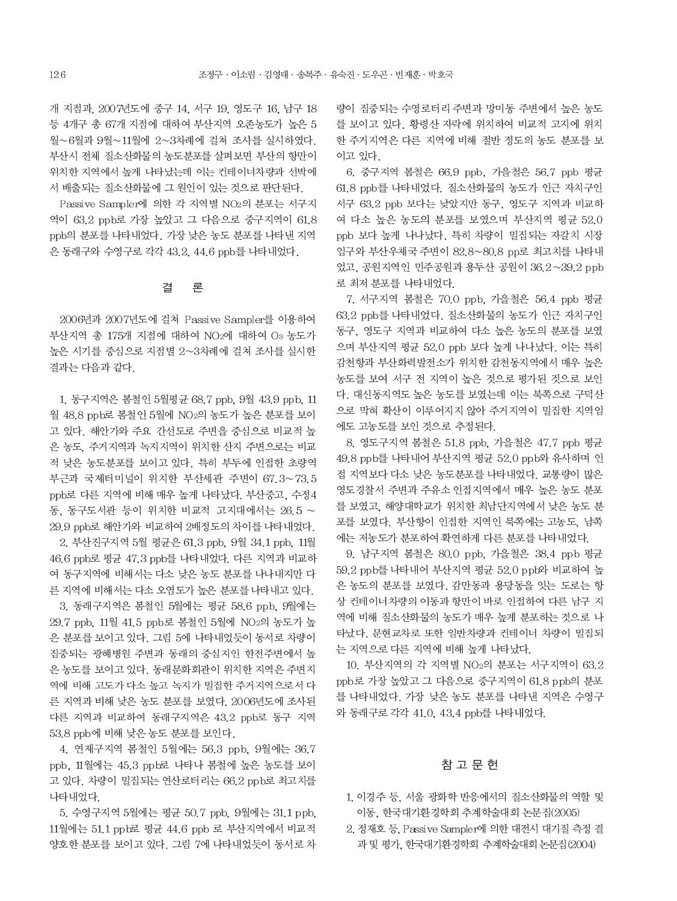개 지점과, 2007년도에 중구 14, 서구 19, 영도구 16, 남구 18 등 4개구 총 67개 지점에 대하여 부산지역 오존농도가 높은 5 월~6월과 9월~11월에 2~3차례에 걸쳐 조사를 실시하였다. 부산시 전체 질소산화물의 농도분포를 살펴보면 부산의 항만이 위치한 지역에서 높게 나타났는데 이는 컨테이너차량과 선박에 서 배출되는 질소산화물에 그 원인이 있는 것으로 판단된다.

Passive Sampler에 의한 각 지역별 NO2의 분포는 서구지 역이 63.2 ppb로 가장 높았고 그 다음으로 중구지역이 61.8 ppb의 분포를 나타내었다. 가장 낮은 농도 분포를 나타낸 지역 은 동래구와 수영구로 각각 43.2, 44.6 ppb를 나타내었다.

#### 론 결

2006년과 2007년도에 걸쳐 Passive Sampler를 이용하여 부산지역 총 175개 지점에 대하여 NO2에 대하여 O3 농도가 높은 시기를 중심으로 지점별 2~3차례에 걸쳐 조사를 실시한 결과는 다음과 같다.

1. 동구지역은 봄철인 5월평균 68.7 ppb. 9월 43.9 ppb. 11 월 48.8 ppb로 봄철인 5월에 NO2의 농도가 높은 분포를 보이 고 있다. 해안가와 주요 간선도로 주변을 중심으로 비교적 높 은 농도, 주거지역과 녹지지역이 위치한 산지 주변으로는 비교 적 낮은 농도분포를 보이고 있다. 특히 부두에 인접한 초량역 부근과 국제터미널이 위치한 부산세관 주변이 67.3~73.5 ppb로 다른 지역에 비해 매우 높게 나타났다. 부산중고, 수정4 동, 동구도서관 등이 위치한 비교적 고지대에서는 26.5 ~ 29.9 ppb로 해안가와 비교하여 2배정도의 차이를 나타내었다. 2. 부산진구지역 5월 평균은 61.3 ppb, 9월 34.1 ppb, 11월

46.6 ppb로 평균 47.3 ppb를 나타내었다. 다른 지역과 비교하 여 동구지역에 비해서는 다소 낮은 농도 분포를 나나내지만 다 른 지역에 비해서는 다소 오염도가 높은 분포를 나타내고 있다.

3. 동래구지역은 봄철인 5월에는 평균 58.6 ppb, 9월에는 29.7 ppb, 11월 41.5 ppb로 봄철인 5월에 NO2의 농도가 높 은 분포를 보이고 있다. 그림 5에 나타내었듯이 동서로 차량이 집중되는 광혜병원 주변과 동래의 중심지인 한전주변에서 높 은 농도를 보이고 있다. 동래문화회관이 위치한 지역은 주변지 역에 비해 고도가 다소 높고 녹지가 밀집한 주거지역으로서 다 른 지역과 비해 낮은 농도 분포를 보였다. 2006년도에 조사된 다른 지역과 비교하여 동래구지역은 43.2 ppb로 동구 지역 53.8 ppb에 비해 낮은 농도 분포를 보인다.

4. 연제구지역 봄철인 5월에는 56.3 ppb, 9월에는 36.7 ppb, 11월에는 45.3 ppb로 나타나 봄철에 높은 농도를 보이 고 있다. 차량이 밀집되는 연산로터리는 66.2 ppb로 최고치를 나타내었다.

5. 수영구지역 5월에는 평균 50.7 ppb, 9월에는 31.1 ppb, 11월에는 51.1 ppb로 평균 44.6 ppb 로 부산지역에서 비교적 양호한 분포를 보이고 있다. 그림 7에 나타내었듯이 동서로 차

량이 집중되는 수영로터리 주변과 망미동 주변에서 높은 농도 를 보이고 있다. 황령산 자락에 위치하여 비교적 고지에 위치 한 주거지역은 다른 지역에 비해 절반 정도의 농도 분포를 보 이고 있다.

6. 중구지역 봄철은 66.9 ppb, 가을철은 56.7 ppb 평균 61.8 ppb를 나타내었다. 질소산화물의 농도가 인근 자치구인 서구 63.2 ppb 보다는 낮았지만 동구, 영도구 지역과 비교하 여 다소 높은 농도의 분포를 보였으며 부산지역 평균 52.0 ppb 보다 높게 나나났다. 특히 차량이 밀집되는 자갈치 시장 입구와 부산우체국 주변이 82.8~80.8 pp로 최고치를 나타내 었고, 공원지역인 민주공원과 용두산 공원이 36.2~39.2 ppb 로 최저 분포를 나타내었다.

7. 서구지역 봄철은 70.0 ppb. 가을철은 56.4 ppb 평균 63.2 ppb를 나타내었다. 질소산화물의 농도가 인근 자치구인 동구, 영도구 지역과 비교하여 다소 높은 농도의 분포를 보였 으며 부산지역 평균 52.0 ppb 보다 높게 나나났다. 이는 특히 감천항과 부산화력발전소가 위치한 감천동지역에서 매우 높은 농도를 보여 서구 전 지역이 높은 것으로 평가된 것으로 보인 다. 대신동지역도 높은 농도를 보였는데 이는 북쪽으로 구덕산 으로 막혀 확산이 이루어지지 않아 주거지역이 밀집한 지역임 에도 고농도를 보인 것으로 추정된다.

8. 영도구지역 봄철은 51.8 ppb, 가을철은 47.7 ppb 평균 49.8 ppb를 나타내어 부산지역 평균 52.0 ppb와 유사하며 인 접 지역보다 다소 낮은 농도분포를 나타내었다. 교통량이 많은 영도경찰서 주변과 주유소 인접지역에서 매우 높은 농도 분포 를 보였고, 해양대학교가 위치한 최남단지역에서 낮은 농도 분 포를 보였다. 부산항이 인접한 지역인 북쪽에는 고농도. 남쪽 에는 저농도가 분포하여 확연하게 다른 분포를 나타내었다.

9. 남구지역 봄철은 80.0 ppb, 가을철은 38.4 ppb 평균 59.2 ppb를 나타내어 부산지역 평균 52.0 ppb와 비교하여 높 은 농도의 분포를 보였다. 감만동과 용당동을 잇는 도로는 항 상 컨테이너차량의 이동과 항만이 바로 인접하여 다른 남구 지 역에 비해 질소산화물의 농도가 매우 높게 분포하는 것으로 나 타났다. 문현교차로 또한 일반차량과 컨테이너 차량이 밀집되 는 지역으로 다른 지역에 비해 높게 나타났다.

10. 부산지역의 각 지역별 NO2의 분포는 서구지역이 63.2 ppb로 가장 높았고 그 다음으로 중구지역이 61.8 ppb의 분포 를 나타내었다. 가장 낮은 농도 분포를 나타낸 지역은 수영구 와 동래구로 각각 41.0, 43.4 ppb를 나타내었다.

# 참 고 문 헌

- 1. 이경주 등, 서울 광화학 반응에서의 질소산화물의 역할 및 이동, 한국대기환경학회 추계학술대회 논문집(2005)
- 2. 정재호 등, Passive Sampler에 의한 대전시 대기질 측정 결 과 및 평가, 한국대기환경학회 추계학술대회 논문집(2004)